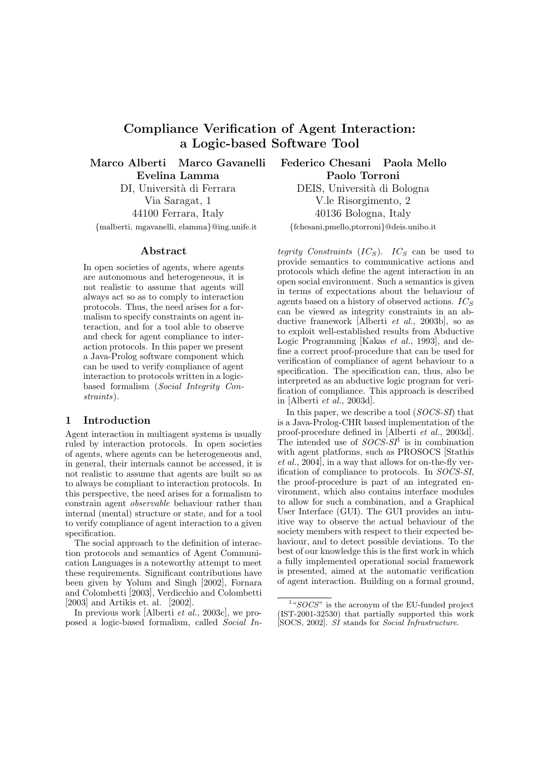# Compliance Verification of Agent Interaction: a Logic-based Software Tool

Marco Alberti Marco Gavanelli Evelina Lamma

> DI, Università di Ferrara Via Saragat, 1 44100 Ferrara, Italy

{malberti, mgavanelli, elamma}@ing.unife.it

#### Abstract

In open societies of agents, where agents are autonomous and heterogeneous, it is not realistic to assume that agents will always act so as to comply to interaction protocols. Thus, the need arises for a formalism to specify constraints on agent interaction, and for a tool able to observe and check for agent compliance to interaction protocols. In this paper we present a Java-Prolog software component which can be used to verify compliance of agent interaction to protocols written in a logicbased formalism (Social Integrity Constraints).

## 1 Introduction

Agent interaction in multiagent systems is usually ruled by interaction protocols. In open societies of agents, where agents can be heterogeneous and, in general, their internals cannot be accessed, it is not realistic to assume that agents are built so as to always be compliant to interaction protocols. In this perspective, the need arises for a formalism to constrain agent observable behaviour rather than internal (mental) structure or state, and for a tool to verify compliance of agent interaction to a given specification.

The social approach to the definition of interaction protocols and semantics of Agent Communication Languages is a noteworthy attempt to meet these requirements. Significant contributions have been given by Yolum and Singh [2002], Fornara and Colombetti [2003], Verdicchio and Colombetti [2003] and Artikis et. al. [2002].

In previous work [Alberti *et al.*, 2003c], we proposed a logic-based formalism, called Social InFederico Chesani Paola Mello Paolo Torroni DEIS, Università di Bologna V.le Risorgimento, 2 40136 Bologna, Italy {fchesani,pmello,ptorroni}@deis.unibo.it

tegrity Constraints  $(IC_S)$ .  $IC_S$  can be used to provide semantics to communicative actions and protocols which define the agent interaction in an open social environment. Such a semantics is given in terms of expectations about the behaviour of agents based on a history of observed actions.  $IC_S$ can be viewed as integrity constraints in an abductive framework [Alberti et al., 2003b], so as to exploit well-established results from Abductive Logic Programming [Kakas et al., 1993], and define a correct proof-procedure that can be used for verification of compliance of agent behaviour to a specification. The specification can, thus, also be interpreted as an abductive logic program for verification of compliance. This approach is described in [Alberti et al., 2003d].

In this paper, we describe a tool (SOCS-SI) that is a Java-Prolog-CHR based implementation of the proof-procedure defined in [Alberti et al., 2003d]. The intended use of  $SOCS-SI<sup>1</sup>$  is in combination with agent platforms, such as PROSOCS [Stathis et al., 2004], in a way that allows for on-the-fly verification of compliance to protocols. In SOCS-SI, the proof-procedure is part of an integrated environment, which also contains interface modules to allow for such a combination, and a Graphical User Interface (GUI). The GUI provides an intuitive way to observe the actual behaviour of the society members with respect to their expected behaviour, and to detect possible deviations. To the best of our knowledge this is the first work in which a fully implemented operational social framework is presented, aimed at the automatic verification of agent interaction. Building on a formal ground,

 $1^{\mu}$  "SOCS" is the acronym of the EU-funded project (IST-2001-32530) that partially supported this work [SOCS, 2002]. SI stands for Social Infrastructure.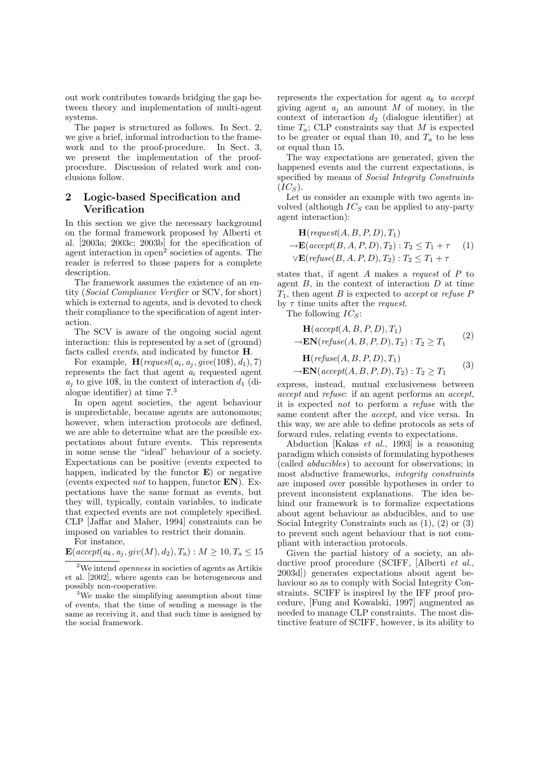out work contributes towards bridging the gap between theory and implementation of multi-agent systems.

The paper is structured as follows. In Sect. 2, we give a brief, informal introduction to the framework and to the proof-procedure. In Sect. 3, we present the implementation of the proofprocedure. Discussion of related work and conclusions follow.

## 2 Logic-based Specification and Verification

In this section we give the necessary background on the formal framework proposed by Alberti et al. [2003a; 2003c; 2003b] for the specification of agent interaction in open<sup>2</sup> societies of agents. The reader is referred to those papers for a complete description.

The framework assumes the existence of an entity (Social Compliance Verifier or SCV, for short) which is external to agents, and is devoted to check their compliance to the specification of agent interaction.

The SCV is aware of the ongoing social agent interaction: this is represented by a set of (ground) facts called events, and indicated by functor H.

For example,  $\mathbf{H}(request(a_i, a_j, give(10\$ {5}), d\_1), 7) represents the fact that agent  $a_i$  requested agent  $a_i$  to give 10\$, in the context of interaction  $d_1$  (dialogue identifier) at time 7.<sup>3</sup>

In open agent societies, the agent behaviour is unpredictable, because agents are autonomous; however, when interaction protocols are defined, we are able to determine what are the possible expectations about future events. This represents in some sense the "ideal" behaviour of a society. Expectations can be positive (events expected to happen, indicated by the functor  $\bf{E}$ ) or negative (events expected *not* to happen, functor  $EN$ ). Expectations have the same format as events, but they will, typically, contain variables, to indicate that expected events are not completely specified. CLP [Jaffar and Maher, 1994] constraints can be imposed on variables to restrict their domain.

For instance,  $\mathbf{E}(accept(a_k, a_i, giv(M), d_2), T_a): M \geq 10, T_a \leq 15$  represents the expectation for agent  $a_k$  to accept giving agent  $a_i$  an amount M of money, in the context of interaction  $d_2$  (dialogue identifier) at time  $T_a$ ; CLP constraints say that M is expected to be greater or equal than 10, and  $T_a$  to be less or equal than 15.

The way expectations are generated, given the happened events and the current expectations, is specified by means of Social Integrity Constraints  $(IC_S).$ 

Let us consider an example with two agents involved (although  $IC_S$  can be applied to any-party agent interaction):

$$
\mathbf{H}(request(A, B, P, D), T_1)
$$
  
\n
$$
\rightarrow \mathbf{E}(accept(B, A, P, D), T_2) : T_2 \le T_1 + \tau \quad (1)
$$
  
\n
$$
\lor \mathbf{E}(refuse(B, A, P, D), T_2) : T_2 \le T_1 + \tau
$$

states that, if agent A makes a request of P to agent  $B$ , in the context of interaction  $D$  at time  $T_1$ , then agent  $B$  is expected to *accept* or *refuse*  $P$ by  $\tau$  time units after the *request*.

The following  $IC_S$ :

$$
\mathbf{H}(accept(A, B, P, D), T_1) \rightarrow \mathbf{EN}(refuse(A, B, P, D), T_2) : T_2 \ge T_1
$$
 (2)

$$
\mathbf{H}(refuse(A, B, P, D), T_1) \rightarrow \mathbf{EN}(accept(A, B, P, D), T_2) : T_2 \ge T_1
$$
 (3)

express, instead, mutual exclusiveness between accept and refuse: if an agent performs an accept, it is expected not to perform a refuse with the same content after the accept, and vice versa. In this way, we are able to define protocols as sets of forward rules, relating events to expectations.

Abduction [Kakas et al., 1993] is a reasoning paradigm which consists of formulating hypotheses (called abducibles) to account for observations; in most abductive frameworks, integrity constraints are imposed over possible hypotheses in order to prevent inconsistent explanations. The idea behind our framework is to formalize expectations about agent behaviour as abducibles, and to use Social Integrity Constraints such as (1), (2) or (3) to prevent such agent behaviour that is not compliant with interaction protocols.

Given the partial history of a society, an abductive proof procedure (SCIFF, [Alberti et al., 2003d]) generates expectations about agent behaviour so as to comply with Social Integrity Constraints. SCIFF is inspired by the IFF proof procedure, [Fung and Kowalski, 1997] augmented as needed to manage CLP constraints. The most distinctive feature of SCIFF, however, is its ability to

<sup>&</sup>lt;sup>2</sup>We intend *openness* in societies of agents as Artikis et al. [2002], where agents can be heterogeneous and

possibly non-cooperative. <sup>3</sup>We make the simplifying assumption about time of events, that the time of sending a message is the same as receiving it, and that such time is assigned by the social framework.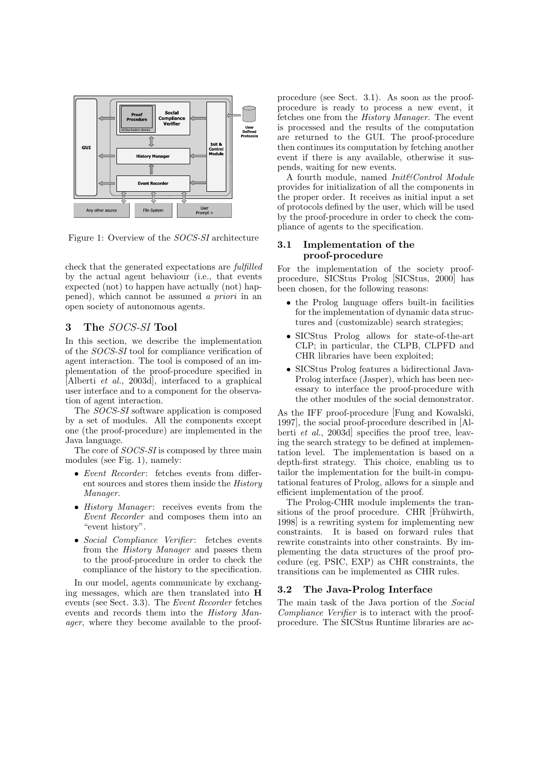

Figure 1: Overview of the SOCS-SI architecture

check that the generated expectations are fulfilled by the actual agent behaviour (i.e., that events expected (not) to happen have actually (not) happened), which cannot be assumed a priori in an open society of autonomous agents.

### 3 The SOCS-SI Tool

In this section, we describe the implementation of the SOCS-SI tool for compliance verification of agent interaction. The tool is composed of an implementation of the proof-procedure specified in [Alberti et al., 2003d], interfaced to a graphical user interface and to a component for the observation of agent interaction.

The SOCS-SI software application is composed by a set of modules. All the components except one (the proof-procedure) are implemented in the Java language.

The core of *SOCS-SI* is composed by three main modules (see Fig. 1), namely:

- Event Recorder: fetches events from different sources and stores them inside the History Manager.
- History Manager: receives events from the Event Recorder and composes them into an "event history".
- $\bullet$  Social Compliance Verifier: fetches events from the History Manager and passes them to the proof-procedure in order to check the compliance of the history to the specification.

In our model, agents communicate by exchanging messages, which are then translated into H events (see Sect. 3.3). The Event Recorder fetches events and records them into the History Manager, where they become available to the proofprocedure (see Sect. 3.1). As soon as the proofprocedure is ready to process a new event, it fetches one from the History Manager. The event is processed and the results of the computation are returned to the GUI. The proof-procedure then continues its computation by fetching another event if there is any available, otherwise it suspends, waiting for new events.

A fourth module, named Init&Control Module provides for initialization of all the components in the proper order. It receives as initial input a set of protocols defined by the user, which will be used by the proof-procedure in order to check the compliance of agents to the specification.

## 3.1 Implementation of the proof-procedure

For the implementation of the society proofprocedure, SICStus Prolog [SICStus, 2000] has been chosen, for the following reasons:

- the Prolog language offers built-in facilities for the implementation of dynamic data structures and (customizable) search strategies;
- SICStus Prolog allows for state-of-the-art CLP; in particular, the CLPB, CLPFD and CHR libraries have been exploited;
- SICStus Prolog features a bidirectional Java-Prolog interface (Jasper), which has been necessary to interface the proof-procedure with the other modules of the social demonstrator.

As the IFF proof-procedure [Fung and Kowalski, 1997], the social proof-procedure described in [Alberti et al., 2003d] specifies the proof tree, leaving the search strategy to be defined at implementation level. The implementation is based on a depth-first strategy. This choice, enabling us to tailor the implementation for the built-in computational features of Prolog, allows for a simple and efficient implementation of the proof.

The Prolog-CHR module implements the transitions of the proof procedure. CHR [Frühwirth, 1998] is a rewriting system for implementing new constraints. It is based on forward rules that rewrite constraints into other constraints. By implementing the data structures of the proof procedure (eg. PSIC, EXP) as CHR constraints, the transitions can be implemented as CHR rules.

### 3.2 The Java-Prolog Interface

The main task of the Java portion of the Social Compliance Verifier is to interact with the proofprocedure. The SICStus Runtime libraries are ac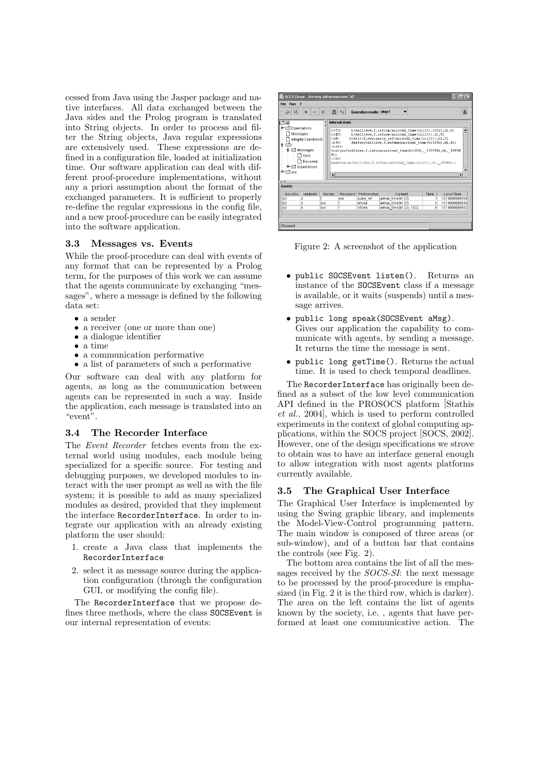cessed from Java using the Jasper package and native interfaces. All data exchanged between the Java sides and the Prolog program is translated into String objects. In order to process and filter the String objects, Java regular expressions are extensively used. These expressions are defined in a configuration file, loaded at initialization time. Our software application can deal with different proof-procedure implementations, without any a priori assumption about the format of the exchanged parameters. It is sufficient to properly re-define the regular expressions in the config file, and a new proof-procedure can be easily integrated into the software application.

#### 3.3 Messages vs. Events

While the proof-procedure can deal with events of any format that can be represented by a Prolog term, for the purposes of this work we can assume that the agents communicate by exchanging "messages", where a message is defined by the following data set:

- a sender
- a receiver (one or more than one)
- a dialogue identifier
- a time
- a communication performative
- a list of parameters of such a performative

Our software can deal with any platform for agents, as long as the communication between agents can be represented in such a way. Inside the application, each message is translated into an "event".

## 3.4 The Recorder Interface

The Event Recorder fetches events from the external world using modules, each module being specialized for a specific source. For testing and debugging purposes, we developed modules to interact with the user prompt as well as with the file system; it is possible to add as many specialized modules as desired, provided that they implement the interface RecorderInterface. In order to integrate our application with an already existing platform the user should:

- 1. create a Java class that implements the RecorderInterface
- 2. select it as message source during the application configuration (through the configuration GUI, or modifying the config file).

The RecorderInterface that we propose defines three methods, where the class SOCSEvent is our internal representation of events:



Figure 2: A screenshot of the application

- public SOCSEvent listen(). Returns an instance of the SOCSEvent class if a message is available, or it waits (suspends) until a message arrives.
- public long speak(SOCSEvent aMsg). Gives our application the capability to communicate with agents, by sending a message. It returns the time the message is sent.
- public long getTime(). Returns the actual time. It is used to check temporal deadlines.

The RecorderInterface has originally been defined as a subset of the low level communication API defined in the PROSOCS platform [Stathis et al., 2004], which is used to perform controlled experiments in the context of global computing applications, within the SOCS project [SOCS, 2002]. However, one of the design specifications we strove to obtain was to have an interface general enough to allow integration with most agents platforms currently available.

#### 3.5 The Graphical User Interface

The Graphical User Interface is implemented by using the Swing graphic library, and implements the Model-View-Control programming pattern. The main window is composed of three areas (or sub-window), and of a button bar that contains the controls (see Fig. 2).

The bottom area contains the list of all the messages received by the SOCS-SI: the next message to be processed by the proof-procedure is emphasized (in Fig. 2 it is the third row, which is darker). The area on the left contains the list of agents known by the society, i.e. , agents that have performed at least one communicative action. The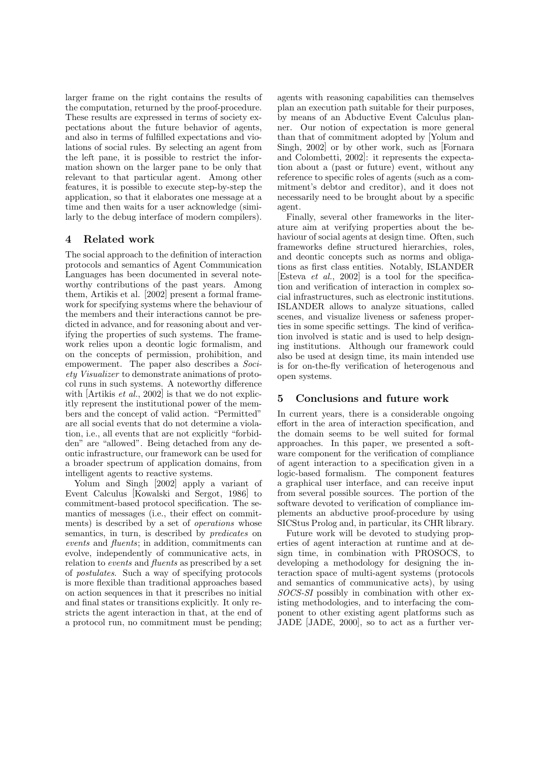larger frame on the right contains the results of the computation, returned by the proof-procedure. These results are expressed in terms of society expectations about the future behavior of agents, and also in terms of fulfilled expectations and violations of social rules. By selecting an agent from the left pane, it is possible to restrict the information shown on the larger pane to be only that relevant to that particular agent. Among other features, it is possible to execute step-by-step the application, so that it elaborates one message at a time and then waits for a user acknowledge (similarly to the debug interface of modern compilers).

## 4 Related work

The social approach to the definition of interaction protocols and semantics of Agent Communication Languages has been documented in several noteworthy contributions of the past years. Among them, Artikis et al. [2002] present a formal framework for specifying systems where the behaviour of the members and their interactions cannot be predicted in advance, and for reasoning about and verifying the properties of such systems. The framework relies upon a deontic logic formalism, and on the concepts of permission, prohibition, and empowerment. The paper also describes a Society Visualizer to demonstrate animations of protocol runs in such systems. A noteworthy difference with  $[Artikis et al., 2002]$  is that we do not explicitly represent the institutional power of the members and the concept of valid action. "Permitted" are all social events that do not determine a violation, i.e., all events that are not explicitly "forbidden" are "allowed". Being detached from any deontic infrastructure, our framework can be used for a broader spectrum of application domains, from intelligent agents to reactive systems.

Yolum and Singh [2002] apply a variant of Event Calculus [Kowalski and Sergot, 1986] to commitment-based protocol specification. The semantics of messages (i.e., their effect on commitments) is described by a set of operations whose semantics, in turn, is described by predicates on events and fluents; in addition, commitments can evolve, independently of communicative acts, in relation to events and fluents as prescribed by a set of postulates. Such a way of specifying protocols is more flexible than traditional approaches based on action sequences in that it prescribes no initial and final states or transitions explicitly. It only restricts the agent interaction in that, at the end of a protocol run, no commitment must be pending;

agents with reasoning capabilities can themselves plan an execution path suitable for their purposes, by means of an Abductive Event Calculus planner. Our notion of expectation is more general than that of commitment adopted by [Yolum and Singh, 2002] or by other work, such as [Fornara and Colombetti, 2002]: it represents the expectation about a (past or future) event, without any reference to specific roles of agents (such as a commitment's debtor and creditor), and it does not necessarily need to be brought about by a specific agent.

Finally, several other frameworks in the literature aim at verifying properties about the behaviour of social agents at design time. Often, such frameworks define structured hierarchies, roles, and deontic concepts such as norms and obligations as first class entities. Notably, ISLANDER [Esteva *et al.*, 2002] is a tool for the specification and verification of interaction in complex social infrastructures, such as electronic institutions. ISLANDER allows to analyze situations, called scenes, and visualize liveness or safeness properties in some specific settings. The kind of verification involved is static and is used to help designing institutions. Although our framework could also be used at design time, its main intended use is for on-the-fly verification of heterogenous and open systems.

## 5 Conclusions and future work

In current years, there is a considerable ongoing effort in the area of interaction specification, and the domain seems to be well suited for formal approaches. In this paper, we presented a software component for the verification of compliance of agent interaction to a specification given in a logic-based formalism. The component features a graphical user interface, and can receive input from several possible sources. The portion of the software devoted to verification of compliance implements an abductive proof-procedure by using SICStus Prolog and, in particular, its CHR library.

Future work will be devoted to studying properties of agent interaction at runtime and at design time, in combination with PROSOCS, to developing a methodology for designing the interaction space of multi-agent systems (protocols and semantics of communicative acts), by using SOCS-SI possibly in combination with other existing methodologies, and to interfacing the component to other existing agent platforms such as JADE [JADE, 2000], so to act as a further ver